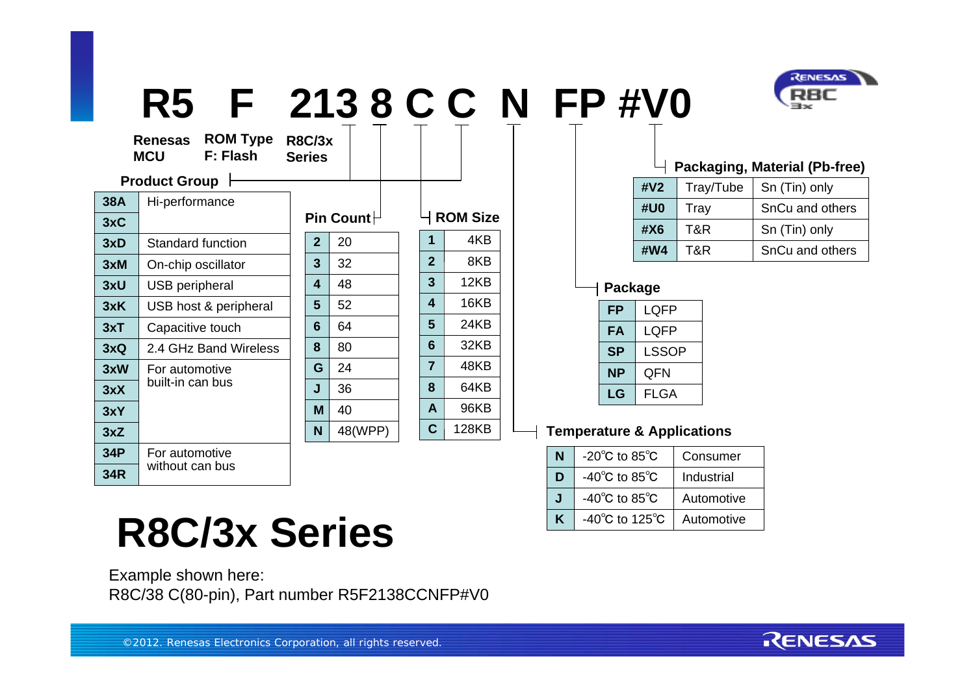|            | R5 F 2138 C C N FP #V0                                      |                                |                    |                         |                 |   |                                     |              |                                       | <u>ITENESAS</u><br><b>RBC</b><br>∃≫                   |
|------------|-------------------------------------------------------------|--------------------------------|--------------------|-------------------------|-----------------|---|-------------------------------------|--------------|---------------------------------------|-------------------------------------------------------|
|            | <b>ROM Type</b><br><b>Renesas</b><br>F: Flash<br><b>MCU</b> | <b>R8C/3x</b><br><b>Series</b> |                    |                         |                 |   |                                     |              |                                       |                                                       |
|            | <b>Product Group</b>                                        |                                |                    |                         |                 |   |                                     | #V2          | Tray/Tube                             | <b>Packaging, Material (Pb-free)</b><br>Sn (Tin) only |
| <b>38A</b> | Hi-performance                                              |                                |                    |                         |                 |   |                                     | #U0          | Tray                                  | SnCu and others                                       |
| 3xC        |                                                             |                                | Pin Count $\vdash$ |                         | <b>ROM Size</b> |   |                                     | #X6          | T&R                                   | Sn (Tin) only                                         |
| 3xD        | Standard function                                           | $\overline{2}$                 | 20                 | 1                       | 4KB             |   |                                     | #W4          | T&R                                   | SnCu and others                                       |
| 3xM        | On-chip oscillator                                          | 3                              | 32                 | $\overline{2}$          | 8KB             |   |                                     |              |                                       |                                                       |
| 3xU        | USB peripheral                                              | 4                              | 48                 | $\mathbf{3}$            | 12KB            |   | Package                             |              |                                       |                                                       |
| 3xK        | USB host & peripheral                                       | $5\phantom{1}$                 | 52                 | $\overline{\mathbf{4}}$ | 16KB            |   | <b>FP</b>                           | <b>LQFP</b>  |                                       |                                                       |
| 3xT        | Capacitive touch                                            | $6\phantom{1}$                 | 64                 | 5                       | 24KB            |   | <b>FA</b>                           | <b>LQFP</b>  |                                       |                                                       |
| 3xQ        | 2.4 GHz Band Wireless                                       | 8                              | 80                 | $6\phantom{1}$          | 32KB            |   | <b>SP</b>                           | <b>LSSOP</b> |                                       |                                                       |
| 3xW        | For automotive                                              | G                              | 24                 | $\overline{7}$          | 48KB            |   | <b>NP</b>                           | QFN          |                                       |                                                       |
| 3xX        | built-in can bus                                            | J                              | 36                 | 8                       | 64KB            |   | <b>LG</b>                           | <b>FLGA</b>  |                                       |                                                       |
| 3xY        |                                                             | M                              | 40                 | $\mathbf{A}$            | <b>96KB</b>     |   |                                     |              |                                       |                                                       |
| 3xZ        |                                                             | N                              | 48(WPP)            | $\mathbf C$             | <b>128KB</b>    |   |                                     |              | <b>Temperature &amp; Applications</b> |                                                       |
| 34P        | For automotive                                              |                                |                    |                         |                 | N | -20 $^{\circ}$ C to 85 $^{\circ}$ C |              | Consumer                              |                                                       |
| 34R        | without can bus                                             |                                |                    |                         |                 | D | -40 $^{\circ}$ C to 85 $^{\circ}$ C |              | Industrial                            |                                                       |
|            |                                                             |                                |                    |                         |                 | J | -40 $^{\circ}$ C to 85 $^{\circ}$ C |              | Automotive                            |                                                       |

**K**

 $\mathsf K$  | -40°C to 125°C

Automotive

### **R8C/3x Series**

Example shown here: R8C/38 C(80-pin), Part number R5F2138CCNFP#V0  $P$  calce as  $\sqrt{ }$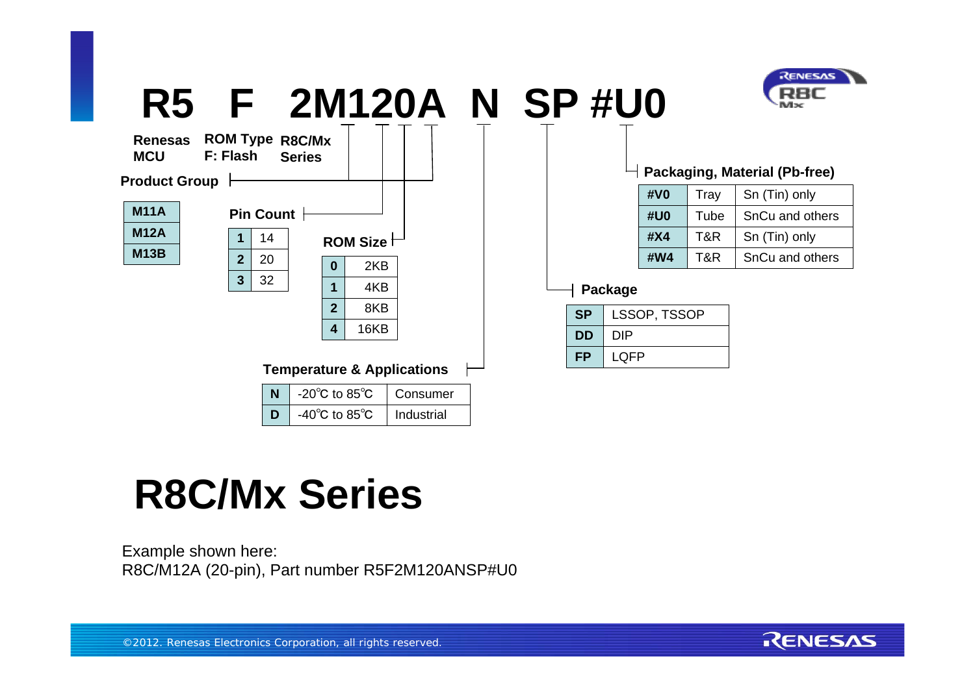

### **R8C/Mx Series**

Example shown here: R8C/M12A (20-pin), Part number R5F2M120ANSP#U0

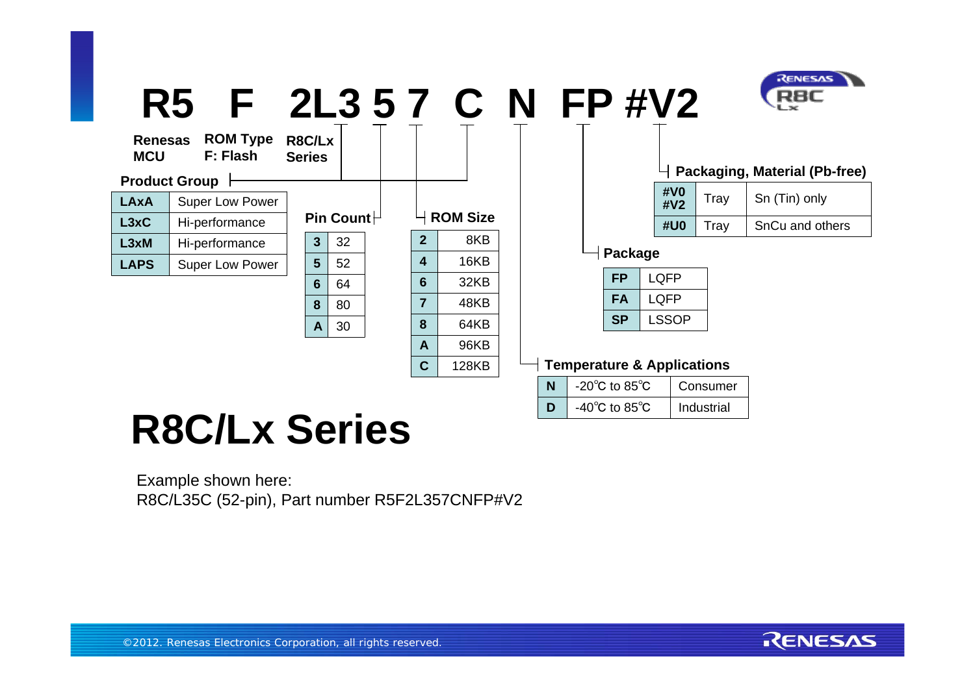|                              | R5 F 2L357 C N FP #V2       |                         |    |                 |                |       |                |                                       |             |              |                 | <b>RENESAS</b><br><b>RBC</b>  |
|------------------------------|-----------------------------|-------------------------|----|-----------------|----------------|-------|----------------|---------------------------------------|-------------|--------------|-----------------|-------------------------------|
| <b>Renesas</b><br><b>MCU</b> | <b>ROM Type</b><br>F: Flash | R8C/Lx<br><b>Series</b> |    |                 |                |       |                |                                       |             |              |                 |                               |
|                              | <b>Product Group</b>        |                         |    |                 |                |       |                |                                       |             |              |                 | Packaging, Material (Pb-free) |
| <b>LAxA</b>                  | Super Low Power             |                         |    |                 |                |       |                |                                       |             | #V0<br>#V2   | Tray            | Sn (Tin) only                 |
| L3xC                         | Hi-performance              | Pin Count $\vdash$      |    | <b>ROM Size</b> |                |       |                |                                       | #U0         | Tray         | SnCu and others |                               |
| L3xM                         | Hi-performance              | $\mathbf{3}$            | 32 |                 | 2 <sup>2</sup> | 8KB   |                |                                       | Package     |              |                 |                               |
| <b>LAPS</b>                  | <b>Super Low Power</b>      | 5                       | 52 |                 | 4              | 16KB  |                |                                       |             |              |                 |                               |
|                              |                             | $6\phantom{1}$          | 64 |                 | 6              | 32KB  |                | <b>FP</b>                             | <b>LQFP</b> |              |                 |                               |
|                              |                             | 8                       | 80 |                 | $\overline{7}$ | 48KB  |                | <b>FA</b>                             | <b>LQFP</b> |              |                 |                               |
|                              |                             | $\mathbf{A}$            | 30 |                 | 8              | 64KB  |                | <b>SP</b>                             |             | <b>LSSOP</b> |                 |                               |
|                              |                             |                         |    |                 | A              | 96KB  |                |                                       |             |              |                 |                               |
|                              |                             |                         |    |                 | $\mathbf{C}$   | 128KB |                | <b>Temperature &amp; Applications</b> |             |              |                 |                               |
|                              |                             |                         |    |                 |                |       | N <sub>1</sub> | $-20^{\circ}$ C to 85 $^{\circ}$ C    |             |              | Consumer        |                               |
|                              |                             |                         |    |                 |                |       | D              | -40 $^{\circ}$ C to 85 $^{\circ}$ C   |             |              | Industrial      |                               |

#### **R8C/Lx Series**

Example shown here: R8C/L35C (52-pin), Part number R5F2L357CNFP#V2

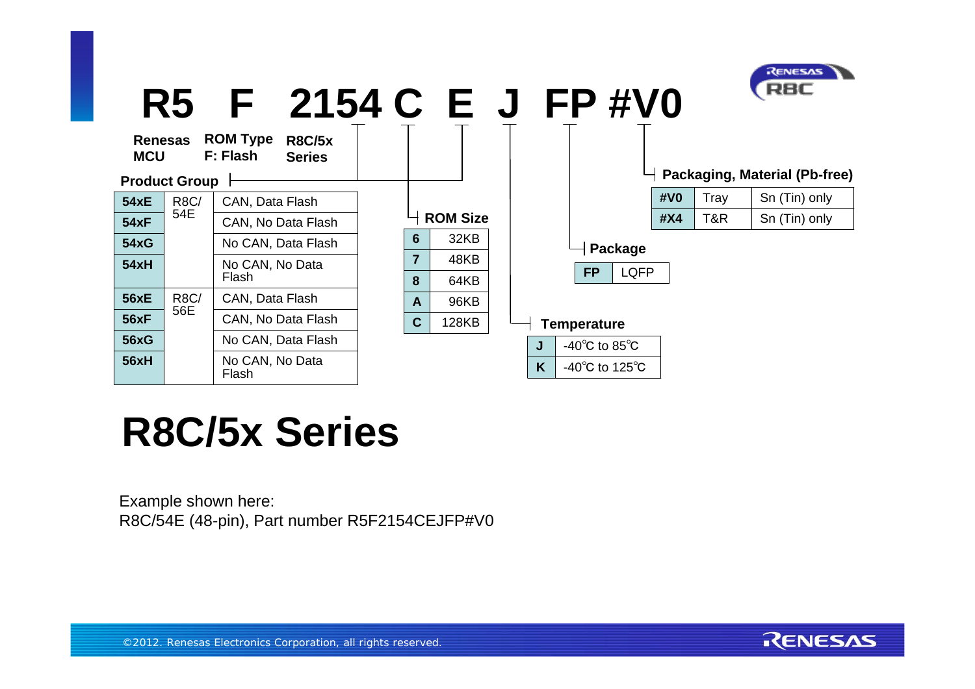|                              | R <sub>5</sub>       | F 2154 C E J FP #V0                                           |                |                 |   |                                      |                 |      | <u>in the second</u><br><b>RBC</b> |
|------------------------------|----------------------|---------------------------------------------------------------|----------------|-----------------|---|--------------------------------------|-----------------|------|------------------------------------|
| <b>Renesas</b><br><b>MCU</b> |                      | <b>ROM Type</b><br><b>R8C/5x</b><br>F: Flash<br><b>Series</b> |                |                 |   |                                      |                 |      | Packaging, Material (Pb-free)      |
|                              | <b>Product Group</b> |                                                               |                |                 |   |                                      |                 |      |                                    |
| <b>54xE</b>                  | <b>R8C/</b>          | CAN, Data Flash                                               |                |                 |   |                                      | #V <sub>0</sub> | Tray | Sn (Tin) only                      |
| <b>54xF</b>                  | 54E                  | CAN, No Data Flash                                            |                | <b>ROM Size</b> |   |                                      | #X4             | T&R  | Sn (Tin) only                      |
| <b>54xG</b>                  |                      | No CAN, Data Flash                                            | $6\phantom{1}$ | 32KB            |   | Package                              |                 |      |                                    |
| <b>54xH</b>                  |                      | No CAN, No Data                                               | $\overline{7}$ | 48KB            |   |                                      |                 |      |                                    |
|                              |                      | Flash                                                         | 8              | 64KB            |   | <b>LQFP</b><br><b>FP</b>             |                 |      |                                    |
| <b>56xE</b>                  | <b>R8C/</b>          | CAN, Data Flash                                               | A              | 96KB            |   |                                      |                 |      |                                    |
| <b>56xF</b>                  | 56E                  | CAN, No Data Flash                                            | $\mathbf{C}$   | 128KB           |   | <b>Temperature</b>                   |                 |      |                                    |
| <b>56xG</b>                  |                      | No CAN, Data Flash                                            |                |                 | J | -40 $^{\circ}$ C to 85 $^{\circ}$ C  |                 |      |                                    |
| <b>56xH</b>                  |                      | No CAN, No Data<br>Flash                                      |                |                 | K | -40 $^{\circ}$ C to 125 $^{\circ}$ C |                 |      |                                    |

# **R8C/5x Series**

Example shown here: R8C/54E (48-pin), Part number R5F2154CEJFP#V0



-------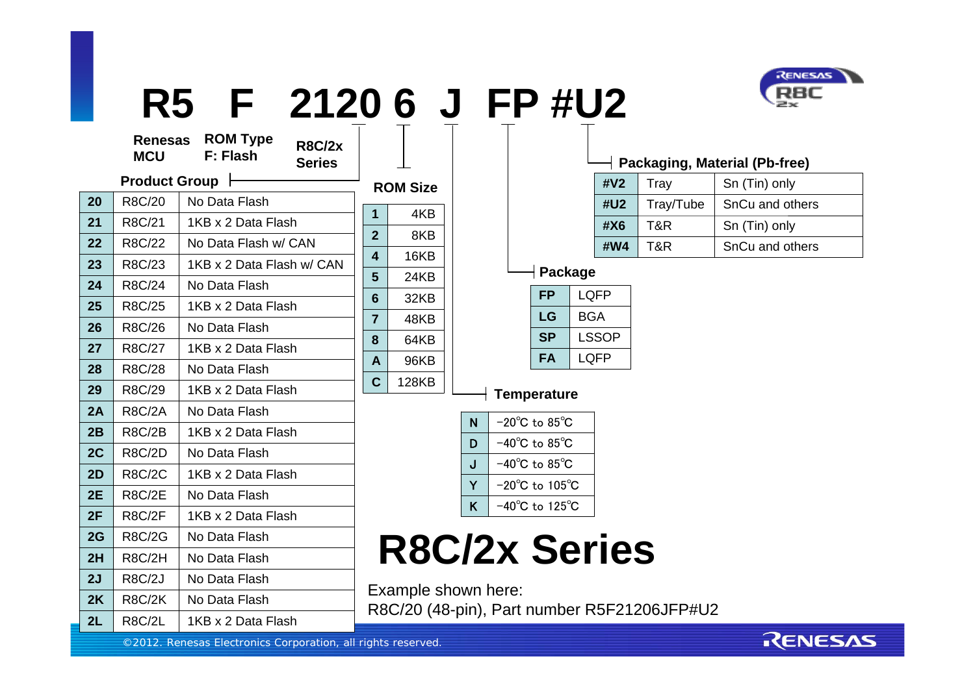# **R5 F 2120 6 J FP #U2**



|                                      |                      | <b>Renesas</b><br><b>MCU</b>   | <b>ROM Type</b><br><b>R8C/2x</b><br>F: Flash<br><b>Series</b> |                                                                                                                           |                                                   |    |  |                                   |              |     |           | <b>Packaging, Material (Pb-free)</b> |  |  |
|--------------------------------------|----------------------|--------------------------------|---------------------------------------------------------------|---------------------------------------------------------------------------------------------------------------------------|---------------------------------------------------|----|--|-----------------------------------|--------------|-----|-----------|--------------------------------------|--|--|
|                                      | <b>Product Group</b> |                                |                                                               |                                                                                                                           | <b>ROM Size</b>                                   |    |  |                                   |              | #V2 | Tray      | Sn (Tin) only                        |  |  |
|                                      | 20                   | R8C/20                         | No Data Flash                                                 |                                                                                                                           |                                                   |    |  |                                   |              | #U2 | Tray/Tube | SnCu and others                      |  |  |
|                                      | 21                   | R8C/21                         | 1KB x 2 Data Flash                                            | 1                                                                                                                         | 4KB                                               |    |  |                                   |              | #X6 | T&R       | Sn (Tin) only                        |  |  |
|                                      | 22                   | R8C/22                         | No Data Flash w/ CAN                                          | $\overline{2}$                                                                                                            | 8KB                                               |    |  |                                   |              | #W4 | T&R       | SnCu and others                      |  |  |
|                                      | 23                   | R8C/23                         | 1KB x 2 Data Flash w/ CAN                                     | $\overline{4}$                                                                                                            | 16KB                                              |    |  | Package                           |              |     |           |                                      |  |  |
|                                      | 24                   | R8C/24                         | No Data Flash                                                 | $5\phantom{1}$                                                                                                            | 24KB                                              |    |  |                                   |              |     |           |                                      |  |  |
|                                      | 25                   | R8C/25                         | 1KB x 2 Data Flash                                            | 6                                                                                                                         | 32KB                                              |    |  | <b>FP</b>                         | <b>LQFP</b>  |     |           |                                      |  |  |
|                                      | 26                   | R8C/26                         | No Data Flash                                                 | $\overline{7}$                                                                                                            | 48KB                                              |    |  | LG                                | <b>BGA</b>   |     |           |                                      |  |  |
|                                      | 27                   | R8C/27                         | 1KB x 2 Data Flash                                            | 8                                                                                                                         | 64KB                                              |    |  | <b>SP</b>                         | <b>LSSOP</b> |     |           |                                      |  |  |
|                                      | 28                   | R8C/28                         | No Data Flash                                                 | $\mathbf{A}$                                                                                                              | <b>96KB</b>                                       |    |  | <b>FA</b>                         | <b>LQFP</b>  |     |           |                                      |  |  |
|                                      | 29                   | R8C/29                         | 1KB x 2 Data Flash                                            |                                                                                                                           | $\mathbf C$<br><b>128KB</b><br><b>Temperature</b> |    |  |                                   |              |     |           |                                      |  |  |
|                                      | 2A                   | <b>R8C/2A</b>                  | No Data Flash                                                 |                                                                                                                           |                                                   |    |  |                                   |              |     |           |                                      |  |  |
|                                      | 2B                   | <b>R8C/2B</b>                  | 1KB x 2 Data Flash                                            |                                                                                                                           |                                                   | N. |  | $-20^{\circ}$ C to $85^{\circ}$ C |              |     |           |                                      |  |  |
|                                      | 2C                   | <b>R8C/2D</b><br>No Data Flash |                                                               |                                                                                                                           | $-40^{\circ}$ C to 85 $^{\circ}$ C<br>D           |    |  |                                   |              |     |           |                                      |  |  |
|                                      | 2D                   | <b>R8C/2C</b>                  | 1KB x 2 Data Flash                                            | $-40^{\circ}$ C to $85^{\circ}$ C<br>J<br>$-20^{\circ}$ C to 105 $^{\circ}$ C<br>Y<br>$-40^{\circ}$ C to 125 $^{\circ}$ C |                                                   |    |  |                                   |              |     |           |                                      |  |  |
|                                      | 2E                   | <b>R8C/2E</b>                  | No Data Flash                                                 |                                                                                                                           |                                                   |    |  |                                   |              |     |           |                                      |  |  |
|                                      | 2F                   | <b>R8C/2F</b>                  | 1KB x 2 Data Flash                                            |                                                                                                                           |                                                   | K. |  |                                   |              |     |           |                                      |  |  |
|                                      | 2G                   | <b>R8C/2G</b>                  | No Data Flash                                                 |                                                                                                                           |                                                   |    |  |                                   |              |     |           |                                      |  |  |
|                                      | 2H                   | <b>R8C/2H</b>                  | No Data Flash                                                 |                                                                                                                           | <b>R8C/2x Series</b>                              |    |  |                                   |              |     |           |                                      |  |  |
|                                      | 2J                   | <b>R8C/2J</b>                  | No Data Flash                                                 |                                                                                                                           |                                                   |    |  |                                   |              |     |           |                                      |  |  |
| <b>R8C/2K</b><br>2K<br>No Data Flash |                      |                                |                                                               |                                                                                                                           | Example shown here:                               |    |  |                                   |              |     |           |                                      |  |  |
|                                      | 2L                   | <b>R8C/2L</b>                  | 1KB x 2 Data Flash                                            | R8C/20 (48-pin), Part number R5F21206JFP#U2                                                                               |                                                   |    |  |                                   |              |     |           |                                      |  |  |

©2012. Renesas Electronics Corporation, all rights reserved.